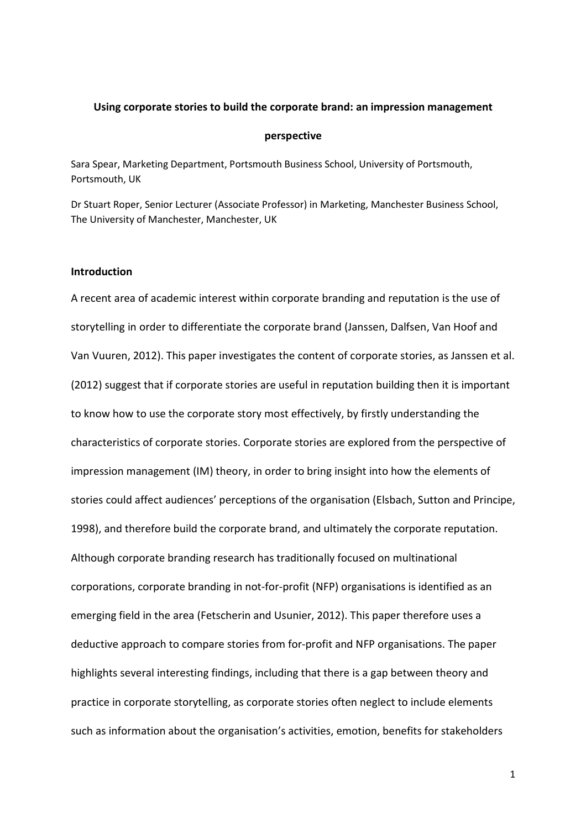#### **Using corporate stories to build the corporate brand: an impression management**

#### **perspective**

Sara Spear, Marketing Department, Portsmouth Business School, University of Portsmouth, Portsmouth, UK

Dr Stuart Roper, Senior Lecturer (Associate Professor) in Marketing, Manchester Business School, The University of Manchester, Manchester, UK

### **Introduction**

A recent area of academic interest within corporate branding and reputation is the use of storytelling in order to differentiate the corporate brand (Janssen, Dalfsen, Van Hoof and Van Vuuren, 2012). This paper investigates the content of corporate stories, as Janssen et al. (2012) suggest that if corporate stories are useful in reputation building then it is important to know how to use the corporate story most effectively, by firstly understanding the characteristics of corporate stories. Corporate stories are explored from the perspective of impression management (IM) theory, in order to bring insight into how the elements of stories could affect audiences' perceptions of the organisation (Elsbach, Sutton and Principe, 1998), and therefore build the corporate brand, and ultimately the corporate reputation. Although corporate branding research has traditionally focused on multinational corporations, corporate branding in not-for-profit (NFP) organisations is identified as an emerging field in the area (Fetscherin and Usunier, 2012). This paper therefore uses a deductive approach to compare stories from for-profit and NFP organisations. The paper highlights several interesting findings, including that there is a gap between theory and practice in corporate storytelling, as corporate stories often neglect to include elements such as information about the organisation's activities, emotion, benefits for stakeholders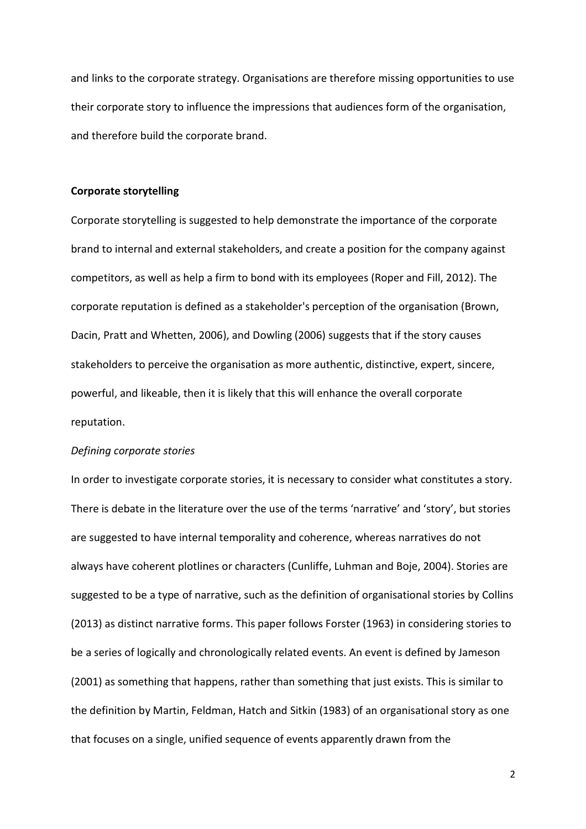and links to the corporate strategy. Organisations are therefore missing opportunities to use their corporate story to influence the impressions that audiences form of the organisation, and therefore build the corporate brand.

### **Corporate storytelling**

Corporate storytelling is suggested to help demonstrate the importance of the corporate brand to internal and external stakeholders, and create a position for the company against competitors, as well as help a firm to bond with its employees (Roper and Fill, 2012). The corporate reputation is defined as a stakeholder's perception of the organisation (Brown, Dacin, Pratt and Whetten, 2006), and Dowling (2006) suggests that if the story causes stakeholders to perceive the organisation as more authentic, distinctive, expert, sincere, powerful, and likeable, then it is likely that this will enhance the overall corporate reputation.

## *Defining corporate stories*

In order to investigate corporate stories, it is necessary to consider what constitutes a story. There is debate in the literature over the use of the terms 'narrative' and 'story', but stories are suggested to have internal temporality and coherence, whereas narratives do not always have coherent plotlines or characters (Cunliffe, Luhman and Boje, 2004). Stories are suggested to be a type of narrative, such as the definition of organisational stories by Collins (2013) as distinct narrative forms. This paper follows Forster (1963) in considering stories to be a series of logically and chronologically related events. An event is defined by Jameson (2001) as something that happens, rather than something that just exists. This is similar to the definition by Martin, Feldman, Hatch and Sitkin (1983) of an organisational story as one that focuses on a single, unified sequence of events apparently drawn from the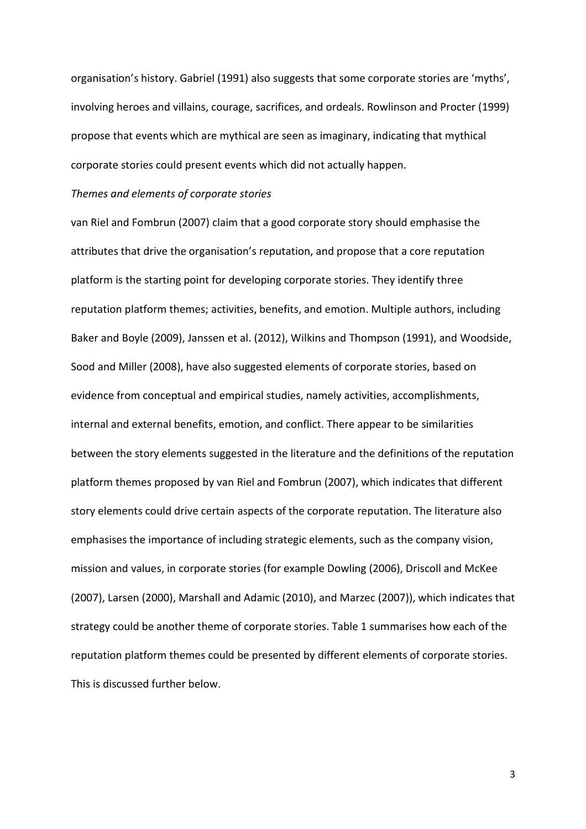organisation's history. Gabriel (1991) also suggests that some corporate stories are 'myths', involving heroes and villains, courage, sacrifices, and ordeals. Rowlinson and Procter (1999) propose that events which are mythical are seen as imaginary, indicating that mythical corporate stories could present events which did not actually happen.

### *Themes and elements of corporate stories*

van Riel and Fombrun (2007) claim that a good corporate story should emphasise the attributes that drive the organisation's reputation, and propose that a core reputation platform is the starting point for developing corporate stories. They identify three reputation platform themes; activities, benefits, and emotion. Multiple authors, including Baker and Boyle (2009), Janssen et al. (2012), Wilkins and Thompson (1991), and Woodside, Sood and Miller (2008), have also suggested elements of corporate stories, based on evidence from conceptual and empirical studies, namely activities, accomplishments, internal and external benefits, emotion, and conflict. There appear to be similarities between the story elements suggested in the literature and the definitions of the reputation platform themes proposed by van Riel and Fombrun (2007), which indicates that different story elements could drive certain aspects of the corporate reputation. The literature also emphasises the importance of including strategic elements, such as the company vision, mission and values, in corporate stories (for example Dowling (2006), Driscoll and McKee (2007), Larsen (2000), Marshall and Adamic (2010), and Marzec (2007)), which indicates that strategy could be another theme of corporate stories. Table 1 summarises how each of the reputation platform themes could be presented by different elements of corporate stories. This is discussed further below.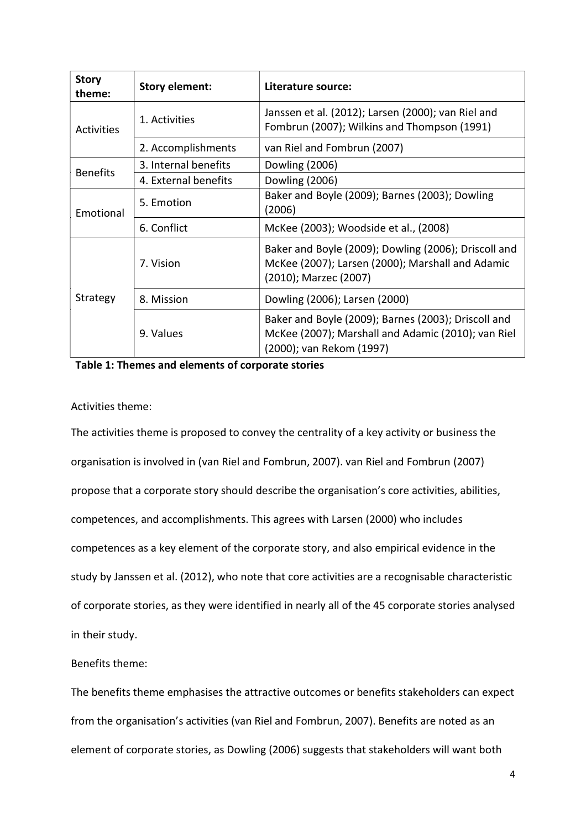| <b>Story</b><br>theme: | <b>Story element:</b> | Literature source:                                                                                                                    |  |
|------------------------|-----------------------|---------------------------------------------------------------------------------------------------------------------------------------|--|
| <b>Activities</b>      | 1. Activities         | Janssen et al. (2012); Larsen (2000); van Riel and<br>Fombrun (2007); Wilkins and Thompson (1991)                                     |  |
|                        | 2. Accomplishments    | van Riel and Fombrun (2007)                                                                                                           |  |
| <b>Benefits</b>        | 3. Internal benefits  | Dowling (2006)                                                                                                                        |  |
|                        | 4. External benefits  | Dowling (2006)                                                                                                                        |  |
| Emotional              | 5. Emotion            | Baker and Boyle (2009); Barnes (2003); Dowling<br>(2006)                                                                              |  |
|                        | 6. Conflict           | McKee (2003); Woodside et al., (2008)                                                                                                 |  |
| Strategy               | 7. Vision             | Baker and Boyle (2009); Dowling (2006); Driscoll and<br>McKee (2007); Larsen (2000); Marshall and Adamic<br>(2010); Marzec (2007)     |  |
|                        | 8. Mission            | Dowling (2006); Larsen (2000)                                                                                                         |  |
|                        | 9. Values             | Baker and Boyle (2009); Barnes (2003); Driscoll and<br>McKee (2007); Marshall and Adamic (2010); van Riel<br>(2000); van Rekom (1997) |  |

## **Table 1: Themes and elements of corporate stories**

## Activities theme:

The activities theme is proposed to convey the centrality of a key activity or business the organisation is involved in (van Riel and Fombrun, 2007). van Riel and Fombrun (2007) propose that a corporate story should describe the organisation's core activities, abilities, competences, and accomplishments. This agrees with Larsen (2000) who includes competences as a key element of the corporate story, and also empirical evidence in the study by Janssen et al. (2012), who note that core activities are a recognisable characteristic of corporate stories, as they were identified in nearly all of the 45 corporate stories analysed in their study.

## Benefits theme:

The benefits theme emphasises the attractive outcomes or benefits stakeholders can expect from the organisation's activities (van Riel and Fombrun, 2007). Benefits are noted as an element of corporate stories, as Dowling (2006) suggests that stakeholders will want both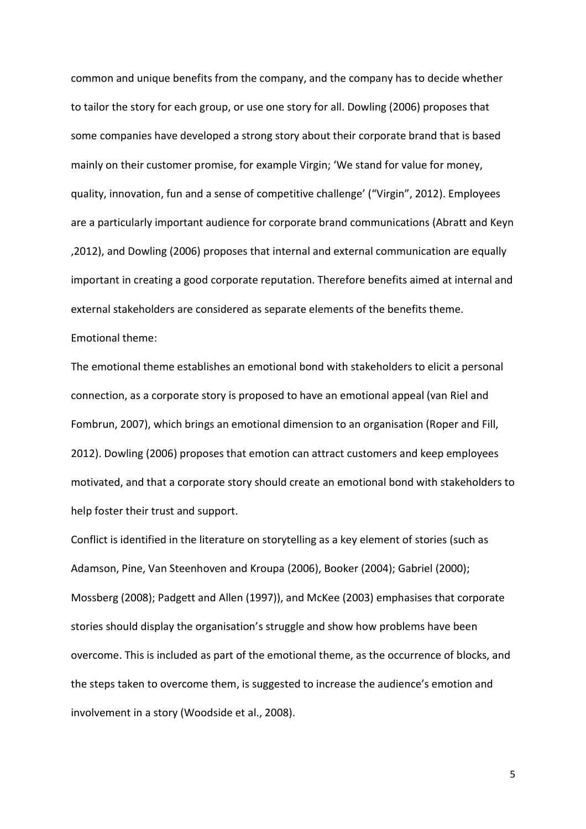common and unique benefits from the company, and the company has to decide whether to tailor the story for each group, or use one story for all. Dowling (2006) proposes that some companies have developed a strong story about their corporate brand that is based mainly on their customer promise, for example Virgin; 'We stand for value for money, quality, innovation, fun and a sense of competitive challenge' ("Virgin", 2012). Employees are a particularly important audience for corporate brand communications (Abratt and Keyn ,2012), and Dowling (2006) proposes that internal and external communication are equally important in creating a good corporate reputation. Therefore benefits aimed at internal and external stakeholders are considered as separate elements of the benefits theme. Emotional theme:

The emotional theme establishes an emotional bond with stakeholders to elicit a personal connection, as a corporate story is proposed to have an emotional appeal (van Riel and Fombrun, 2007), which brings an emotional dimension to an organisation (Roper and Fill, 2012). Dowling (2006) proposes that emotion can attract customers and keep employees motivated, and that a corporate story should create an emotional bond with stakeholders to help foster their trust and support.

Conflict is identified in the literature on storytelling as a key element of stories (such as Adamson, Pine, Van Steenhoven and Kroupa (2006), Booker (2004); Gabriel (2000); Mossberg (2008); Padgett and Allen (1997)), and McKee (2003) emphasises that corporate stories should display the organisation's struggle and show how problems have been overcome. This is included as part of the emotional theme, as the occurrence of blocks, and the steps taken to overcome them, is suggested to increase the audience's emotion and involvement in a story (Woodside et al., 2008).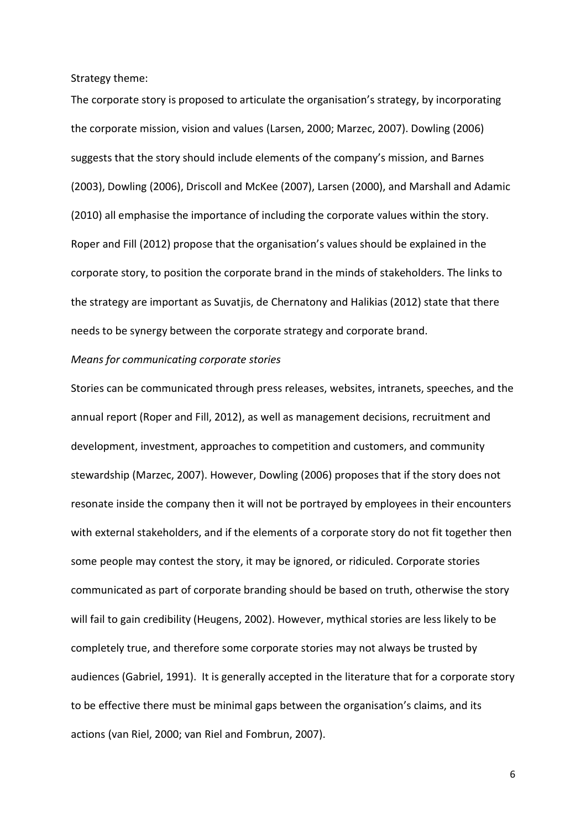Strategy theme:

The corporate story is proposed to articulate the organisation's strategy, by incorporating the corporate mission, vision and values (Larsen, 2000; Marzec, 2007). Dowling (2006) suggests that the story should include elements of the company's mission, and Barnes (2003), Dowling (2006), Driscoll and McKee (2007), Larsen (2000), and Marshall and Adamic (2010) all emphasise the importance of including the corporate values within the story. Roper and Fill (2012) propose that the organisation's values should be explained in the corporate story, to position the corporate brand in the minds of stakeholders. The links to the strategy are important as Suvatjis, de Chernatony and Halikias (2012) state that there needs to be synergy between the corporate strategy and corporate brand.

#### *Means for communicating corporate stories*

Stories can be communicated through press releases, websites, intranets, speeches, and the annual report (Roper and Fill, 2012), as well as management decisions, recruitment and development, investment, approaches to competition and customers, and community stewardship (Marzec, 2007). However, Dowling (2006) proposes that if the story does not resonate inside the company then it will not be portrayed by employees in their encounters with external stakeholders, and if the elements of a corporate story do not fit together then some people may contest the story, it may be ignored, or ridiculed. Corporate stories communicated as part of corporate branding should be based on truth, otherwise the story will fail to gain credibility (Heugens, 2002). However, mythical stories are less likely to be completely true, and therefore some corporate stories may not always be trusted by audiences (Gabriel, 1991). It is generally accepted in the literature that for a corporate story to be effective there must be minimal gaps between the organisation's claims, and its actions (van Riel, 2000; van Riel and Fombrun, 2007).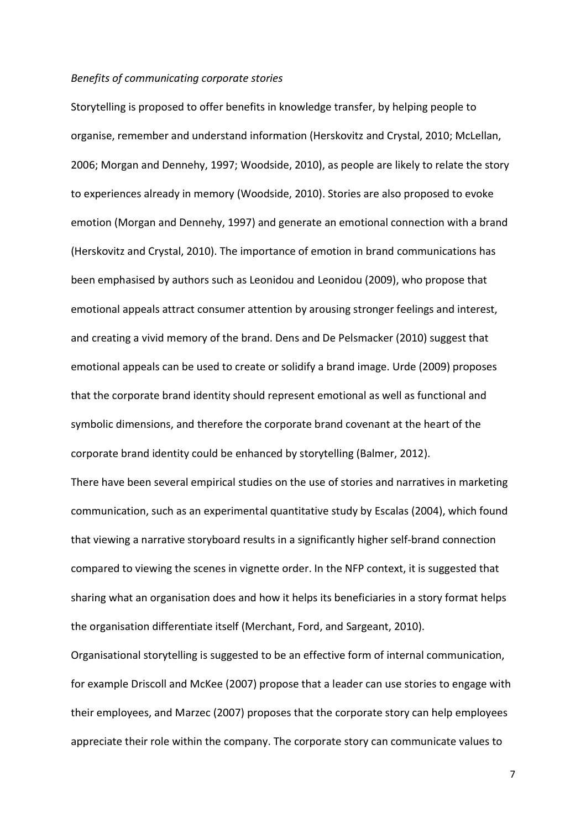### *Benefits of communicating corporate stories*

Storytelling is proposed to offer benefits in knowledge transfer, by helping people to organise, remember and understand information (Herskovitz and Crystal, 2010; McLellan, 2006; Morgan and Dennehy, 1997; Woodside, 2010), as people are likely to relate the story to experiences already in memory (Woodside, 2010). Stories are also proposed to evoke emotion (Morgan and Dennehy, 1997) and generate an emotional connection with a brand (Herskovitz and Crystal, 2010). The importance of emotion in brand communications has been emphasised by authors such as Leonidou and Leonidou (2009), who propose that emotional appeals attract consumer attention by arousing stronger feelings and interest, and creating a vivid memory of the brand. Dens and De Pelsmacker (2010) suggest that emotional appeals can be used to create or solidify a brand image. Urde (2009) proposes that the corporate brand identity should represent emotional as well as functional and symbolic dimensions, and therefore the corporate brand covenant at the heart of the corporate brand identity could be enhanced by storytelling (Balmer, 2012).

There have been several empirical studies on the use of stories and narratives in marketing communication, such as an experimental quantitative study by Escalas (2004), which found that viewing a narrative storyboard results in a significantly higher self-brand connection compared to viewing the scenes in vignette order. In the NFP context, it is suggested that sharing what an organisation does and how it helps its beneficiaries in a story format helps the organisation differentiate itself (Merchant, Ford, and Sargeant, 2010).

Organisational storytelling is suggested to be an effective form of internal communication, for example Driscoll and McKee (2007) propose that a leader can use stories to engage with their employees, and Marzec (2007) proposes that the corporate story can help employees appreciate their role within the company. The corporate story can communicate values to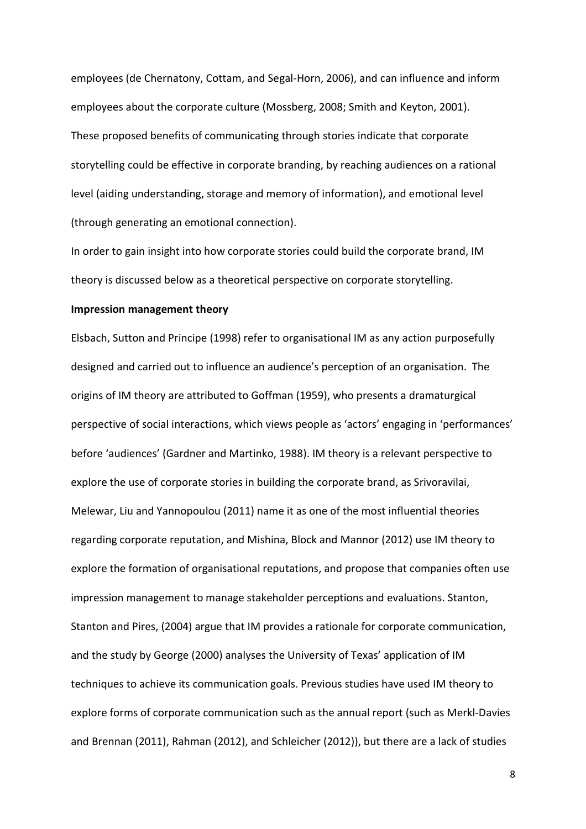employees (de Chernatony, Cottam, and Segal-Horn, 2006), and can influence and inform employees about the corporate culture (Mossberg, 2008; Smith and Keyton, 2001). These proposed benefits of communicating through stories indicate that corporate storytelling could be effective in corporate branding, by reaching audiences on a rational level (aiding understanding, storage and memory of information), and emotional level (through generating an emotional connection).

In order to gain insight into how corporate stories could build the corporate brand, IM theory is discussed below as a theoretical perspective on corporate storytelling.

## **Impression management theory**

Elsbach, Sutton and Principe (1998) refer to organisational IM as any action purposefully designed and carried out to influence an audience's perception of an organisation. The origins of IM theory are attributed to Goffman (1959), who presents a dramaturgical perspective of social interactions, which views people as 'actors' engaging in 'performances' before 'audiences' (Gardner and Martinko, 1988). IM theory is a relevant perspective to explore the use of corporate stories in building the corporate brand, as Srivoravilai, Melewar, Liu and Yannopoulou (2011) name it as one of the most influential theories regarding corporate reputation, and Mishina, Block and Mannor (2012) use IM theory to explore the formation of organisational reputations, and propose that companies often use impression management to manage stakeholder perceptions and evaluations. Stanton, Stanton and Pires, (2004) argue that IM provides a rationale for corporate communication, and the study by George (2000) analyses the University of Texas' application of IM techniques to achieve its communication goals. Previous studies have used IM theory to explore forms of corporate communication such as the annual report (such as Merkl-Davies and Brennan (2011), Rahman (2012), and Schleicher (2012)), but there are a lack of studies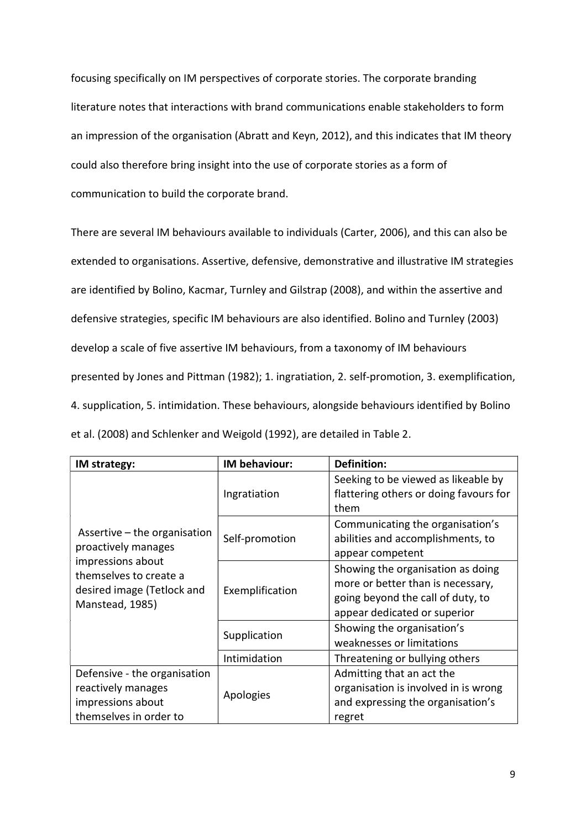focusing specifically on IM perspectives of corporate stories. The corporate branding literature notes that interactions with brand communications enable stakeholders to form an impression of the organisation (Abratt and Keyn, 2012), and this indicates that IM theory could also therefore bring insight into the use of corporate stories as a form of communication to build the corporate brand.

There are several IM behaviours available to individuals (Carter, 2006), and this can also be extended to organisations. Assertive, defensive, demonstrative and illustrative IM strategies are identified by Bolino, Kacmar, Turnley and Gilstrap (2008), and within the assertive and defensive strategies, specific IM behaviours are also identified. Bolino and Turnley (2003) develop a scale of five assertive IM behaviours, from a taxonomy of IM behaviours presented by Jones and Pittman (1982); 1. ingratiation, 2. self-promotion, 3. exemplification, 4. supplication, 5. intimidation. These behaviours, alongside behaviours identified by Bolino et al. (2008) and Schlenker and Weigold (1992), are detailed in Table 2.

| IM strategy:                                                                                      | IM behaviour:   | <b>Definition:</b>                                                                                                                          |  |
|---------------------------------------------------------------------------------------------------|-----------------|---------------------------------------------------------------------------------------------------------------------------------------------|--|
|                                                                                                   | Ingratiation    | Seeking to be viewed as likeable by<br>flattering others or doing favours for<br>them                                                       |  |
| Assertive – the organisation<br>proactively manages                                               | Self-promotion  | Communicating the organisation's<br>abilities and accomplishments, to<br>appear competent                                                   |  |
| impressions about<br>themselves to create a<br>desired image (Tetlock and<br>Manstead, 1985)      | Exemplification | Showing the organisation as doing<br>more or better than is necessary,<br>going beyond the call of duty, to<br>appear dedicated or superior |  |
|                                                                                                   | Supplication    | Showing the organisation's<br>weaknesses or limitations                                                                                     |  |
|                                                                                                   | Intimidation    | Threatening or bullying others                                                                                                              |  |
| Defensive - the organisation<br>reactively manages<br>impressions about<br>themselves in order to | Apologies       | Admitting that an act the<br>organisation is involved in is wrong<br>and expressing the organisation's<br>regret                            |  |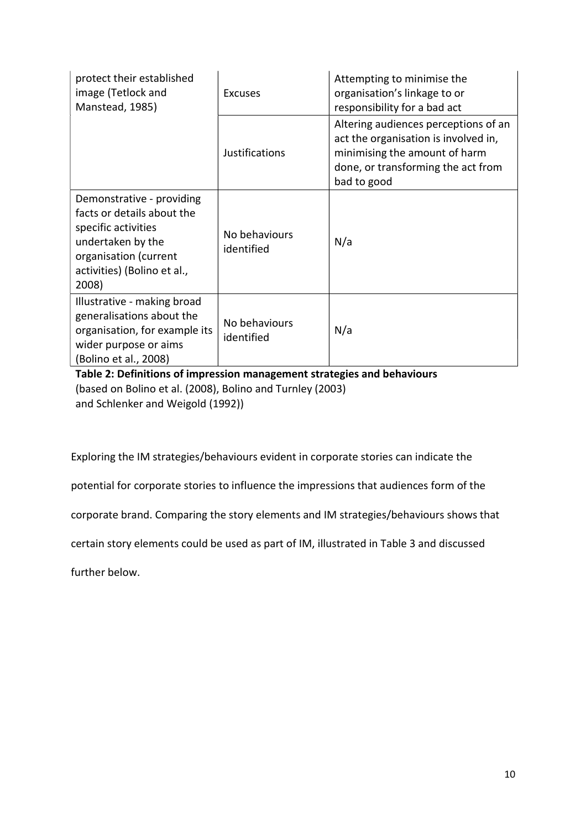| protect their established<br>image (Tetlock and<br>Manstead, 1985)                                                                                                   | <b>Excuses</b>              | Attempting to minimise the<br>organisation's linkage to or<br>responsibility for a bad act                                                                         |  |
|----------------------------------------------------------------------------------------------------------------------------------------------------------------------|-----------------------------|--------------------------------------------------------------------------------------------------------------------------------------------------------------------|--|
|                                                                                                                                                                      | Justifications              | Altering audiences perceptions of an<br>act the organisation is involved in,<br>minimising the amount of harm<br>done, or transforming the act from<br>bad to good |  |
| Demonstrative - providing<br>facts or details about the<br>specific activities<br>undertaken by the<br>organisation (current<br>activities) (Bolino et al.,<br>2008) | No behaviours<br>identified | N/a                                                                                                                                                                |  |
| Illustrative - making broad<br>generalisations about the<br>organisation, for example its<br>wider purpose or aims<br>(Bolino et al., 2008)                          | No behaviours<br>identified | N/a                                                                                                                                                                |  |

**Table 2: Definitions of impression management strategies and behaviours**  (based on Bolino et al. (2008), Bolino and Turnley (2003) and Schlenker and Weigold (1992))

Exploring the IM strategies/behaviours evident in corporate stories can indicate the

potential for corporate stories to influence the impressions that audiences form of the

corporate brand. Comparing the story elements and IM strategies/behaviours shows that

certain story elements could be used as part of IM, illustrated in Table 3 and discussed

further below.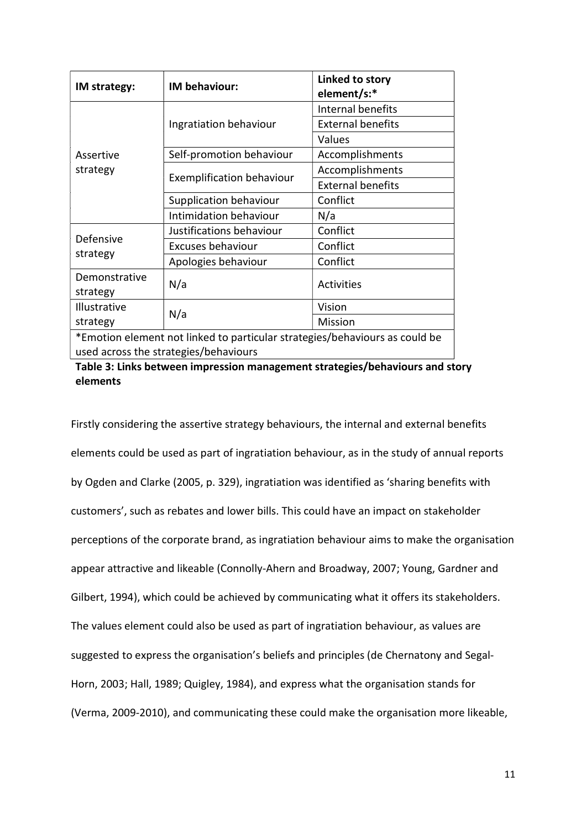| IM strategy:                                                                                                         | <b>IM behaviour:</b>             | Linked to story<br>element/s:* |  |  |
|----------------------------------------------------------------------------------------------------------------------|----------------------------------|--------------------------------|--|--|
|                                                                                                                      |                                  | Internal benefits              |  |  |
|                                                                                                                      | Ingratiation behaviour           | <b>External benefits</b>       |  |  |
|                                                                                                                      |                                  | Values                         |  |  |
| Assertive                                                                                                            | Self-promotion behaviour         | Accomplishments                |  |  |
| strategy                                                                                                             |                                  | Accomplishments                |  |  |
|                                                                                                                      | <b>Exemplification behaviour</b> | <b>External benefits</b>       |  |  |
|                                                                                                                      | Supplication behaviour           | Conflict                       |  |  |
|                                                                                                                      | Intimidation behaviour           | N/a                            |  |  |
| Defensive                                                                                                            | Justifications behaviour         | Conflict                       |  |  |
|                                                                                                                      | <b>Excuses behaviour</b>         | Conflict                       |  |  |
| strategy                                                                                                             | Apologies behaviour              | Conflict                       |  |  |
| Demonstrative<br>strategy                                                                                            | N/a                              | Activities                     |  |  |
| Illustrative                                                                                                         |                                  | Vision                         |  |  |
| strategy                                                                                                             | N/a                              | Mission                        |  |  |
| *Emotion element not linked to particular strategies/behaviours as could be<br>used across the strategies/behaviours |                                  |                                |  |  |

# **Table 3: Links between impression management strategies/behaviours and story elements**

Firstly considering the assertive strategy behaviours, the internal and external benefits elements could be used as part of ingratiation behaviour, as in the study of annual reports by Ogden and Clarke (2005, p. 329), ingratiation was identified as 'sharing benefits with customers', such as rebates and lower bills. This could have an impact on stakeholder perceptions of the corporate brand, as ingratiation behaviour aims to make the organisation appear attractive and likeable (Connolly-Ahern and Broadway, 2007; Young, Gardner and Gilbert, 1994), which could be achieved by communicating what it offers its stakeholders. The values element could also be used as part of ingratiation behaviour, as values are suggested to express the organisation's beliefs and principles (de Chernatony and Segal-Horn, 2003; Hall, 1989; Quigley, 1984), and express what the organisation stands for (Verma, 2009-2010), and communicating these could make the organisation more likeable,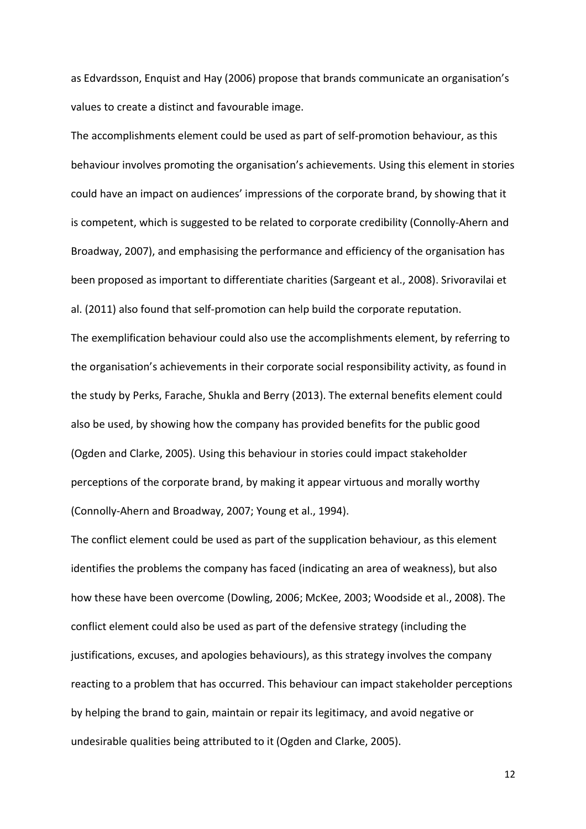as Edvardsson, Enquist and Hay (2006) propose that brands communicate an organisation's values to create a distinct and favourable image.

The accomplishments element could be used as part of self-promotion behaviour, as this behaviour involves promoting the organisation's achievements. Using this element in stories could have an impact on audiences' impressions of the corporate brand, by showing that it is competent, which is suggested to be related to corporate credibility (Connolly-Ahern and Broadway, 2007), and emphasising the performance and efficiency of the organisation has been proposed as important to differentiate charities (Sargeant et al., 2008). Srivoravilai et al. (2011) also found that self-promotion can help build the corporate reputation. The exemplification behaviour could also use the accomplishments element, by referring to the organisation's achievements in their corporate social responsibility activity, as found in the study by Perks, Farache, Shukla and Berry (2013). The external benefits element could also be used, by showing how the company has provided benefits for the public good (Ogden and Clarke, 2005). Using this behaviour in stories could impact stakeholder perceptions of the corporate brand, by making it appear virtuous and morally worthy (Connolly-Ahern and Broadway, 2007; Young et al., 1994).

The conflict element could be used as part of the supplication behaviour, as this element identifies the problems the company has faced (indicating an area of weakness), but also how these have been overcome (Dowling, 2006; McKee, 2003; Woodside et al., 2008). The conflict element could also be used as part of the defensive strategy (including the justifications, excuses, and apologies behaviours), as this strategy involves the company reacting to a problem that has occurred. This behaviour can impact stakeholder perceptions by helping the brand to gain, maintain or repair its legitimacy, and avoid negative or undesirable qualities being attributed to it (Ogden and Clarke, 2005).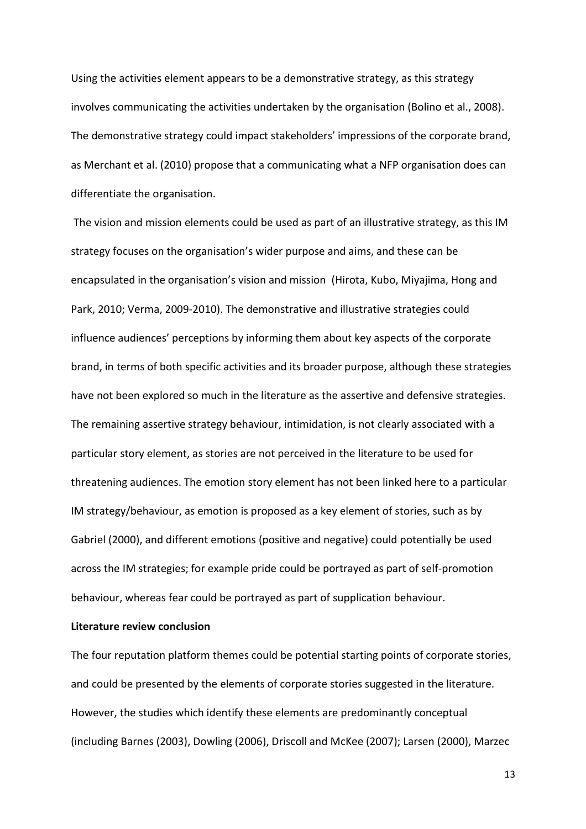Using the activities element appears to be a demonstrative strategy, as this strategy involves communicating the activities undertaken by the organisation (Bolino et al., 2008). The demonstrative strategy could impact stakeholders' impressions of the corporate brand, as Merchant et al. (2010) propose that a communicating what a NFP organisation does can differentiate the organisation.

 The vision and mission elements could be used as part of an illustrative strategy, as this IM strategy focuses on the organisation's wider purpose and aims, and these can be encapsulated in the organisation's vision and mission (Hirota, Kubo, Miyajima, Hong and Park, 2010; Verma, 2009-2010). The demonstrative and illustrative strategies could influence audiences' perceptions by informing them about key aspects of the corporate brand, in terms of both specific activities and its broader purpose, although these strategies have not been explored so much in the literature as the assertive and defensive strategies. The remaining assertive strategy behaviour, intimidation, is not clearly associated with a particular story element, as stories are not perceived in the literature to be used for threatening audiences. The emotion story element has not been linked here to a particular IM strategy/behaviour, as emotion is proposed as a key element of stories, such as by Gabriel (2000), and different emotions (positive and negative) could potentially be used across the IM strategies; for example pride could be portrayed as part of self-promotion behaviour, whereas fear could be portrayed as part of supplication behaviour.

#### **Literature review conclusion**

The four reputation platform themes could be potential starting points of corporate stories, and could be presented by the elements of corporate stories suggested in the literature. However, the studies which identify these elements are predominantly conceptual (including Barnes (2003), Dowling (2006), Driscoll and McKee (2007); Larsen (2000), Marzec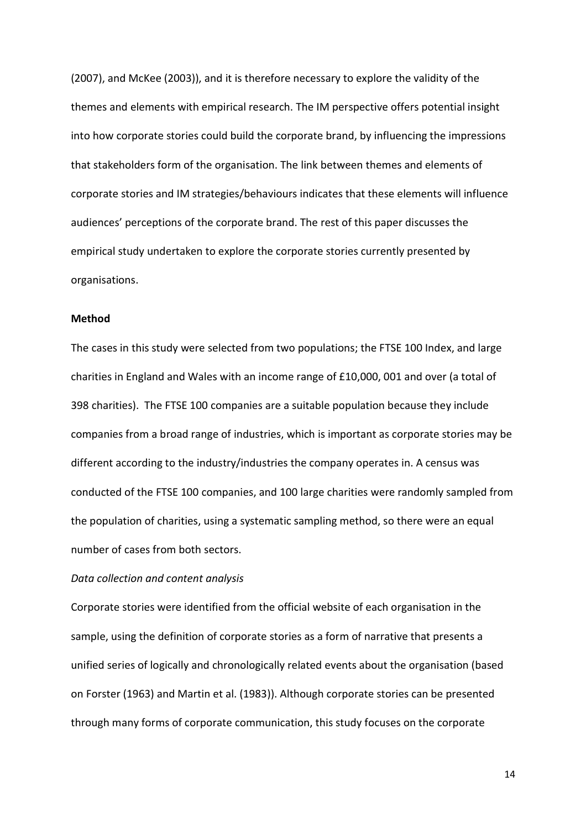(2007), and McKee (2003)), and it is therefore necessary to explore the validity of the themes and elements with empirical research. The IM perspective offers potential insight into how corporate stories could build the corporate brand, by influencing the impressions that stakeholders form of the organisation. The link between themes and elements of corporate stories and IM strategies/behaviours indicates that these elements will influence audiences' perceptions of the corporate brand. The rest of this paper discusses the empirical study undertaken to explore the corporate stories currently presented by organisations.

## **Method**

The cases in this study were selected from two populations; the FTSE 100 Index, and large charities in England and Wales with an income range of £10,000, 001 and over (a total of 398 charities). The FTSE 100 companies are a suitable population because they include companies from a broad range of industries, which is important as corporate stories may be different according to the industry/industries the company operates in. A census was conducted of the FTSE 100 companies, and 100 large charities were randomly sampled from the population of charities, using a systematic sampling method, so there were an equal number of cases from both sectors.

## *Data collection and content analysis*

Corporate stories were identified from the official website of each organisation in the sample, using the definition of corporate stories as a form of narrative that presents a unified series of logically and chronologically related events about the organisation (based on Forster (1963) and Martin et al. (1983)). Although corporate stories can be presented through many forms of corporate communication, this study focuses on the corporate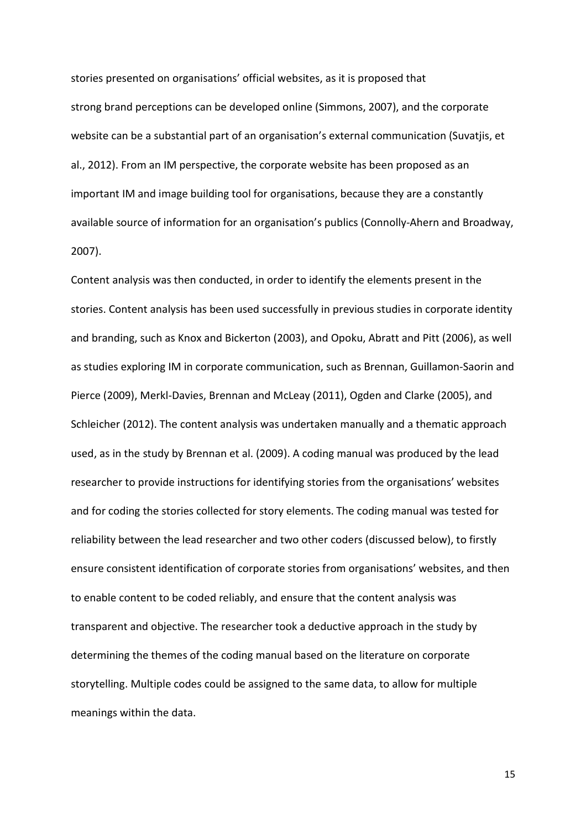stories presented on organisations' official websites, as it is proposed that strong brand perceptions can be developed online (Simmons, 2007), and the corporate website can be a substantial part of an organisation's external communication (Suvatjis, et al., 2012). From an IM perspective, the corporate website has been proposed as an important IM and image building tool for organisations, because they are a constantly available source of information for an organisation's publics (Connolly-Ahern and Broadway, 2007).

Content analysis was then conducted, in order to identify the elements present in the stories. Content analysis has been used successfully in previous studies in corporate identity and branding, such as Knox and Bickerton (2003), and Opoku, Abratt and Pitt (2006), as well as studies exploring IM in corporate communication, such as Brennan, Guillamon-Saorin and Pierce (2009), Merkl-Davies, Brennan and McLeay (2011), Ogden and Clarke (2005), and Schleicher (2012). The content analysis was undertaken manually and a thematic approach used, as in the study by Brennan et al. (2009). A coding manual was produced by the lead researcher to provide instructions for identifying stories from the organisations' websites and for coding the stories collected for story elements. The coding manual was tested for reliability between the lead researcher and two other coders (discussed below), to firstly ensure consistent identification of corporate stories from organisations' websites, and then to enable content to be coded reliably, and ensure that the content analysis was transparent and objective. The researcher took a deductive approach in the study by determining the themes of the coding manual based on the literature on corporate storytelling. Multiple codes could be assigned to the same data, to allow for multiple meanings within the data.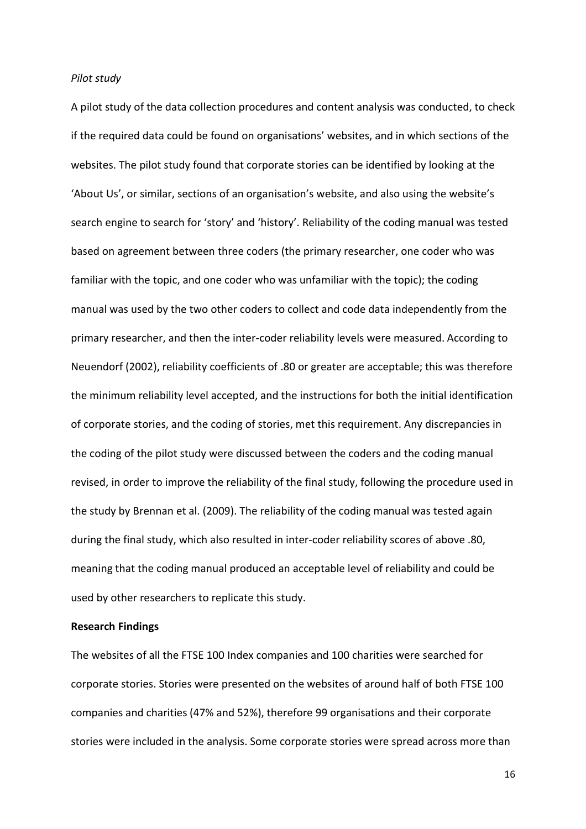### *Pilot study*

A pilot study of the data collection procedures and content analysis was conducted, to check if the required data could be found on organisations' websites, and in which sections of the websites. The pilot study found that corporate stories can be identified by looking at the 'About Us', or similar, sections of an organisation's website, and also using the website's search engine to search for 'story' and 'history'. Reliability of the coding manual was tested based on agreement between three coders (the primary researcher, one coder who was familiar with the topic, and one coder who was unfamiliar with the topic); the coding manual was used by the two other coders to collect and code data independently from the primary researcher, and then the inter-coder reliability levels were measured. According to Neuendorf (2002), reliability coefficients of .80 or greater are acceptable; this was therefore the minimum reliability level accepted, and the instructions for both the initial identification of corporate stories, and the coding of stories, met this requirement. Any discrepancies in the coding of the pilot study were discussed between the coders and the coding manual revised, in order to improve the reliability of the final study, following the procedure used in the study by Brennan et al. (2009). The reliability of the coding manual was tested again during the final study, which also resulted in inter-coder reliability scores of above .80, meaning that the coding manual produced an acceptable level of reliability and could be used by other researchers to replicate this study.

## **Research Findings**

The websites of all the FTSE 100 Index companies and 100 charities were searched for corporate stories. Stories were presented on the websites of around half of both FTSE 100 companies and charities (47% and 52%), therefore 99 organisations and their corporate stories were included in the analysis. Some corporate stories were spread across more than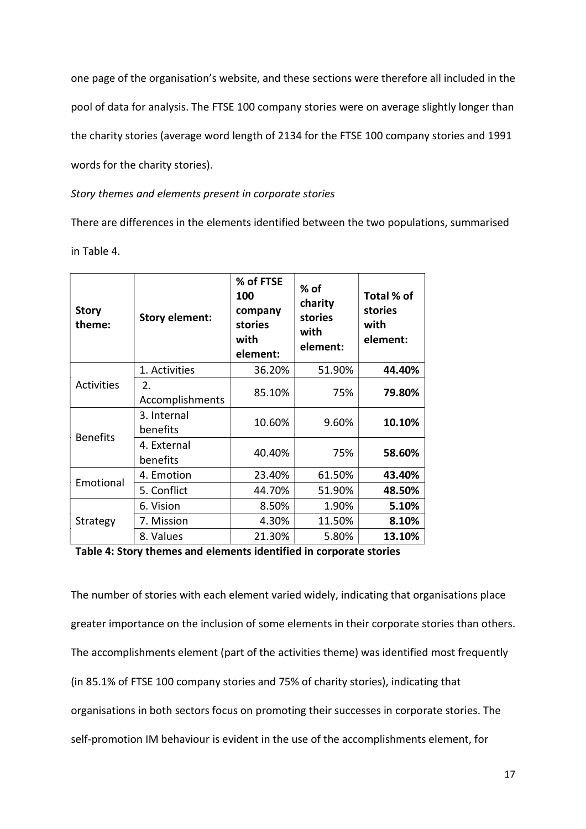one page of the organisation's website, and these sections were therefore all included in the pool of data for analysis. The FTSE 100 company stories were on average slightly longer than the charity stories (average word length of 2134 for the FTSE 100 company stories and 1991 words for the charity stories).

## *Story themes and elements present in corporate stories*

There are differences in the elements identified between the two populations, summarised in Table 4.

| <b>Story</b><br>theme: | <b>Story element:</b>   | % of FTSE<br>100<br>company<br>stories<br>with<br>element: | $%$ of<br>charity<br>stories<br>with<br>element: | Total % of<br>stories<br>with<br>element: |
|------------------------|-------------------------|------------------------------------------------------------|--------------------------------------------------|-------------------------------------------|
|                        | 1. Activities           | 36.20%                                                     | 51.90%                                           | 44.40%                                    |
| <b>Activities</b>      | 2.<br>Accomplishments   | 85.10%                                                     | 75%                                              | 79.80%                                    |
| <b>Benefits</b>        | 3. Internal<br>benefits | 10.60%                                                     | 9.60%                                            | 10.10%                                    |
|                        | 4. External<br>benefits | 40.40%                                                     | 75%                                              | 58.60%                                    |
| Emotional              | 4. Emotion              | 23.40%                                                     | 61.50%                                           | 43.40%                                    |
|                        | 5. Conflict             | 44.70%                                                     | 51.90%                                           | 48.50%                                    |
|                        | 6. Vision               | 8.50%                                                      | 1.90%                                            | 5.10%                                     |
| Strategy               | 7. Mission              | 4.30%                                                      | 11.50%                                           | 8.10%                                     |
|                        | 8. Values               | 21.30%                                                     | 5.80%                                            | 13.10%                                    |

**Table 4: Story themes and elements identified in corporate stories** 

The number of stories with each element varied widely, indicating that organisations place greater importance on the inclusion of some elements in their corporate stories than others. The accomplishments element (part of the activities theme) was identified most frequently (in 85.1% of FTSE 100 company stories and 75% of charity stories), indicating that organisations in both sectors focus on promoting their successes in corporate stories. The self-promotion IM behaviour is evident in the use of the accomplishments element, for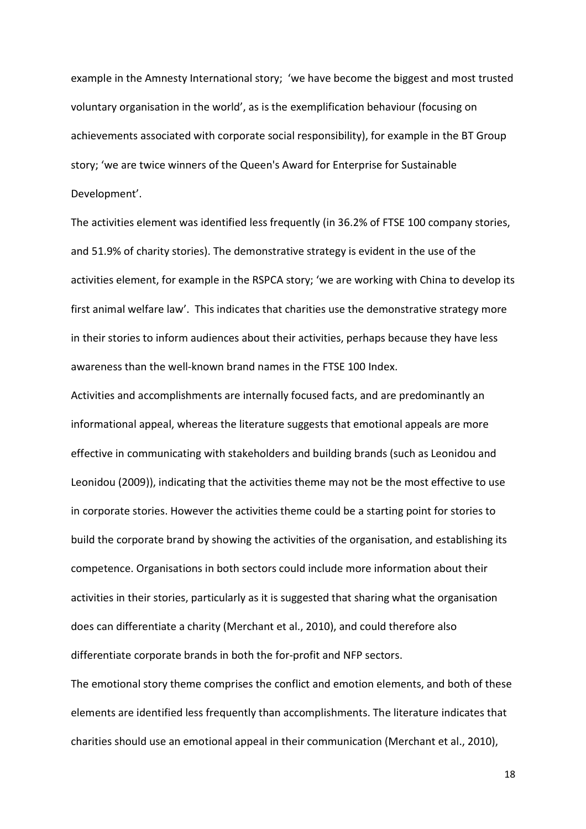example in the Amnesty International story; 'we have become the biggest and most trusted voluntary organisation in the world', as is the exemplification behaviour (focusing on achievements associated with corporate social responsibility), for example in the BT Group story; 'we are twice winners of the Queen's Award for Enterprise for Sustainable Development'.

The activities element was identified less frequently (in 36.2% of FTSE 100 company stories, and 51.9% of charity stories). The demonstrative strategy is evident in the use of the activities element, for example in the RSPCA story; 'we are working with China to develop its first animal welfare law'. This indicates that charities use the demonstrative strategy more in their stories to inform audiences about their activities, perhaps because they have less awareness than the well-known brand names in the FTSE 100 Index.

Activities and accomplishments are internally focused facts, and are predominantly an informational appeal, whereas the literature suggests that emotional appeals are more effective in communicating with stakeholders and building brands (such as Leonidou and Leonidou (2009)), indicating that the activities theme may not be the most effective to use in corporate stories. However the activities theme could be a starting point for stories to build the corporate brand by showing the activities of the organisation, and establishing its competence. Organisations in both sectors could include more information about their activities in their stories, particularly as it is suggested that sharing what the organisation does can differentiate a charity (Merchant et al., 2010), and could therefore also differentiate corporate brands in both the for-profit and NFP sectors.

The emotional story theme comprises the conflict and emotion elements, and both of these elements are identified less frequently than accomplishments. The literature indicates that charities should use an emotional appeal in their communication (Merchant et al., 2010),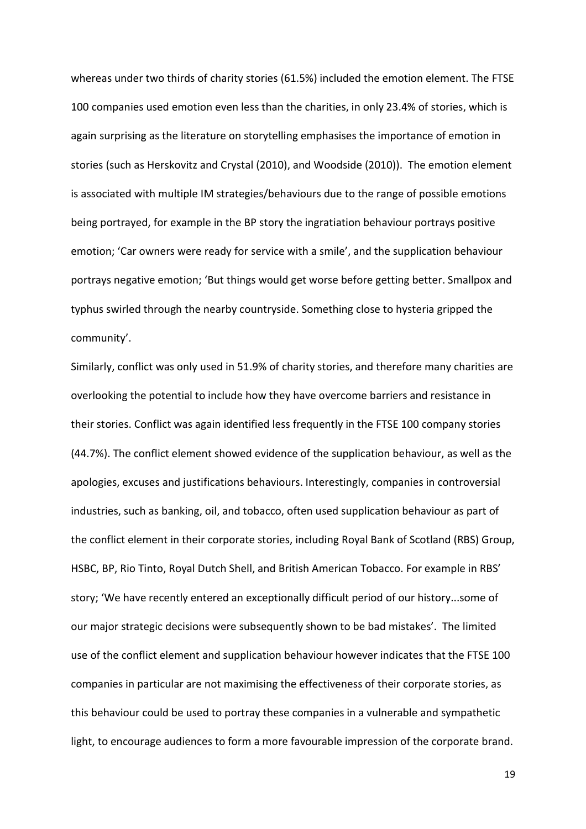whereas under two thirds of charity stories (61.5%) included the emotion element. The FTSE 100 companies used emotion even less than the charities, in only 23.4% of stories, which is again surprising as the literature on storytelling emphasises the importance of emotion in stories (such as Herskovitz and Crystal (2010), and Woodside (2010)). The emotion element is associated with multiple IM strategies/behaviours due to the range of possible emotions being portrayed, for example in the BP story the ingratiation behaviour portrays positive emotion; 'Car owners were ready for service with a smile', and the supplication behaviour portrays negative emotion; 'But things would get worse before getting better. Smallpox and typhus swirled through the nearby countryside. Something close to hysteria gripped the community'.

Similarly, conflict was only used in 51.9% of charity stories, and therefore many charities are overlooking the potential to include how they have overcome barriers and resistance in their stories. Conflict was again identified less frequently in the FTSE 100 company stories (44.7%). The conflict element showed evidence of the supplication behaviour, as well as the apologies, excuses and justifications behaviours. Interestingly, companies in controversial industries, such as banking, oil, and tobacco, often used supplication behaviour as part of the conflict element in their corporate stories, including Royal Bank of Scotland (RBS) Group, HSBC, BP, Rio Tinto, Royal Dutch Shell, and British American Tobacco. For example in RBS' story; 'We have recently entered an exceptionally difficult period of our history...some of our major strategic decisions were subsequently shown to be bad mistakes'. The limited use of the conflict element and supplication behaviour however indicates that the FTSE 100 companies in particular are not maximising the effectiveness of their corporate stories, as this behaviour could be used to portray these companies in a vulnerable and sympathetic light, to encourage audiences to form a more favourable impression of the corporate brand.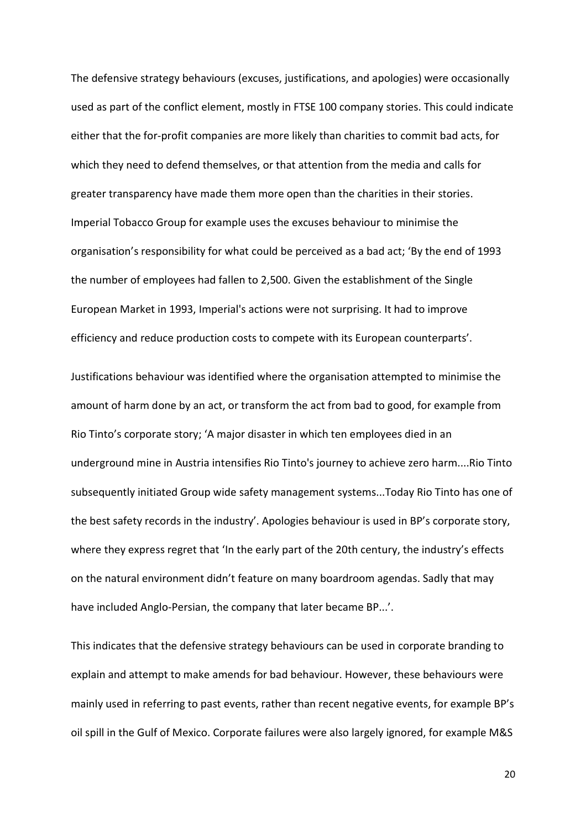The defensive strategy behaviours (excuses, justifications, and apologies) were occasionally used as part of the conflict element, mostly in FTSE 100 company stories. This could indicate either that the for-profit companies are more likely than charities to commit bad acts, for which they need to defend themselves, or that attention from the media and calls for greater transparency have made them more open than the charities in their stories. Imperial Tobacco Group for example uses the excuses behaviour to minimise the organisation's responsibility for what could be perceived as a bad act; 'By the end of 1993 the number of employees had fallen to 2,500. Given the establishment of the Single European Market in 1993, Imperial's actions were not surprising. It had to improve efficiency and reduce production costs to compete with its European counterparts'.

Justifications behaviour was identified where the organisation attempted to minimise the amount of harm done by an act, or transform the act from bad to good, for example from Rio Tinto's corporate story; 'A major disaster in which ten employees died in an underground mine in Austria intensifies Rio Tinto's journey to achieve zero harm....Rio Tinto subsequently initiated Group wide safety management systems...Today Rio Tinto has one of the best safety records in the industry'. Apologies behaviour is used in BP's corporate story, where they express regret that 'In the early part of the 20th century, the industry's effects on the natural environment didn't feature on many boardroom agendas. Sadly that may have included Anglo-Persian, the company that later became BP...'.

This indicates that the defensive strategy behaviours can be used in corporate branding to explain and attempt to make amends for bad behaviour. However, these behaviours were mainly used in referring to past events, rather than recent negative events, for example BP's oil spill in the Gulf of Mexico. Corporate failures were also largely ignored, for example M&S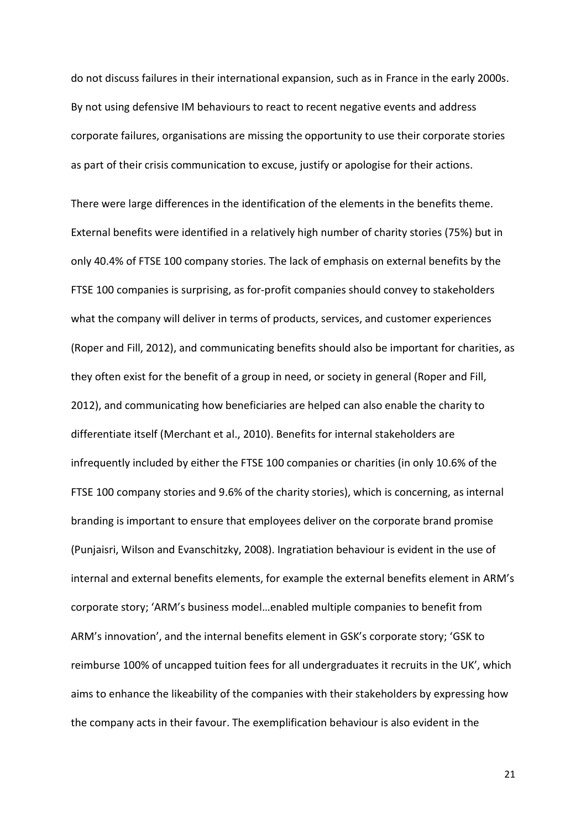do not discuss failures in their international expansion, such as in France in the early 2000s. By not using defensive IM behaviours to react to recent negative events and address corporate failures, organisations are missing the opportunity to use their corporate stories as part of their crisis communication to excuse, justify or apologise for their actions.

There were large differences in the identification of the elements in the benefits theme. External benefits were identified in a relatively high number of charity stories (75%) but in only 40.4% of FTSE 100 company stories. The lack of emphasis on external benefits by the FTSE 100 companies is surprising, as for-profit companies should convey to stakeholders what the company will deliver in terms of products, services, and customer experiences (Roper and Fill, 2012), and communicating benefits should also be important for charities, as they often exist for the benefit of a group in need, or society in general (Roper and Fill, 2012), and communicating how beneficiaries are helped can also enable the charity to differentiate itself (Merchant et al., 2010). Benefits for internal stakeholders are infrequently included by either the FTSE 100 companies or charities (in only 10.6% of the FTSE 100 company stories and 9.6% of the charity stories), which is concerning, as internal branding is important to ensure that employees deliver on the corporate brand promise (Punjaisri, Wilson and Evanschitzky, 2008). Ingratiation behaviour is evident in the use of internal and external benefits elements, for example the external benefits element in ARM's corporate story; 'ARM's business model…enabled multiple companies to benefit from ARM's innovation', and the internal benefits element in GSK's corporate story; 'GSK to reimburse 100% of uncapped tuition fees for all undergraduates it recruits in the UK', which aims to enhance the likeability of the companies with their stakeholders by expressing how the company acts in their favour. The exemplification behaviour is also evident in the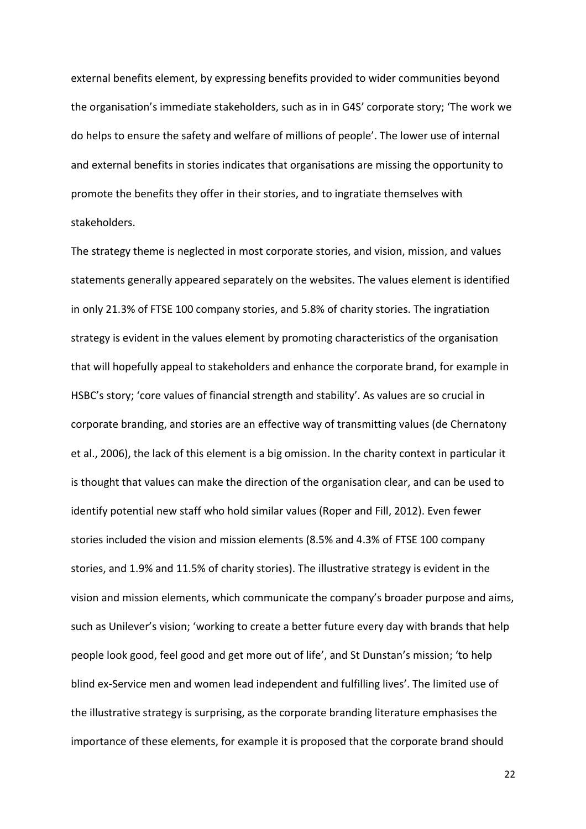external benefits element, by expressing benefits provided to wider communities beyond the organisation's immediate stakeholders, such as in in G4S' corporate story; 'The work we do helps to ensure the safety and welfare of millions of people'. The lower use of internal and external benefits in stories indicates that organisations are missing the opportunity to promote the benefits they offer in their stories, and to ingratiate themselves with stakeholders.

The strategy theme is neglected in most corporate stories, and vision, mission, and values statements generally appeared separately on the websites. The values element is identified in only 21.3% of FTSE 100 company stories, and 5.8% of charity stories. The ingratiation strategy is evident in the values element by promoting characteristics of the organisation that will hopefully appeal to stakeholders and enhance the corporate brand, for example in HSBC's story; 'core values of financial strength and stability'. As values are so crucial in corporate branding, and stories are an effective way of transmitting values (de Chernatony et al., 2006), the lack of this element is a big omission. In the charity context in particular it is thought that values can make the direction of the organisation clear, and can be used to identify potential new staff who hold similar values (Roper and Fill, 2012). Even fewer stories included the vision and mission elements (8.5% and 4.3% of FTSE 100 company stories, and 1.9% and 11.5% of charity stories). The illustrative strategy is evident in the vision and mission elements, which communicate the company's broader purpose and aims, such as Unilever's vision; 'working to create a better future every day with brands that help people look good, feel good and get more out of life', and St Dunstan's mission; 'to help blind ex-Service men and women lead independent and fulfilling lives'. The limited use of the illustrative strategy is surprising, as the corporate branding literature emphasises the importance of these elements, for example it is proposed that the corporate brand should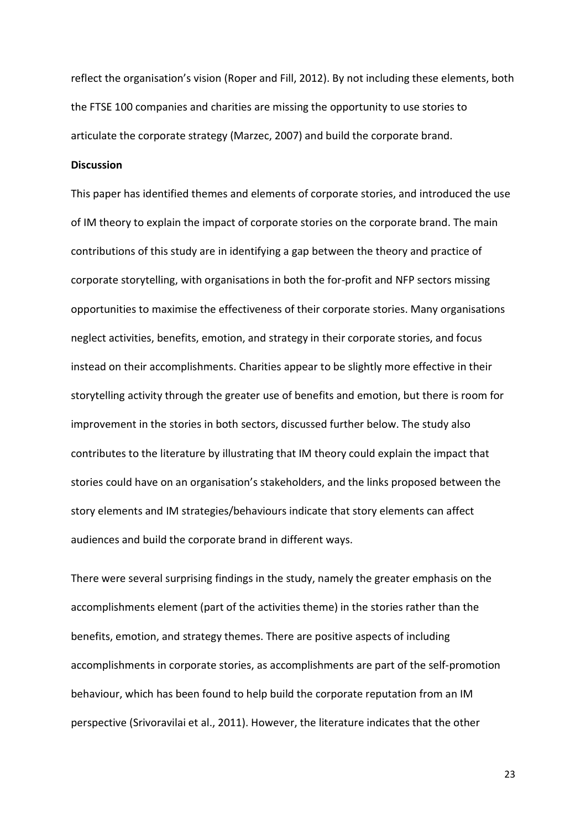reflect the organisation's vision (Roper and Fill, 2012). By not including these elements, both the FTSE 100 companies and charities are missing the opportunity to use stories to articulate the corporate strategy (Marzec, 2007) and build the corporate brand.

#### **Discussion**

This paper has identified themes and elements of corporate stories, and introduced the use of IM theory to explain the impact of corporate stories on the corporate brand. The main contributions of this study are in identifying a gap between the theory and practice of corporate storytelling, with organisations in both the for-profit and NFP sectors missing opportunities to maximise the effectiveness of their corporate stories. Many organisations neglect activities, benefits, emotion, and strategy in their corporate stories, and focus instead on their accomplishments. Charities appear to be slightly more effective in their storytelling activity through the greater use of benefits and emotion, but there is room for improvement in the stories in both sectors, discussed further below. The study also contributes to the literature by illustrating that IM theory could explain the impact that stories could have on an organisation's stakeholders, and the links proposed between the story elements and IM strategies/behaviours indicate that story elements can affect audiences and build the corporate brand in different ways.

There were several surprising findings in the study, namely the greater emphasis on the accomplishments element (part of the activities theme) in the stories rather than the benefits, emotion, and strategy themes. There are positive aspects of including accomplishments in corporate stories, as accomplishments are part of the self-promotion behaviour, which has been found to help build the corporate reputation from an IM perspective (Srivoravilai et al., 2011). However, the literature indicates that the other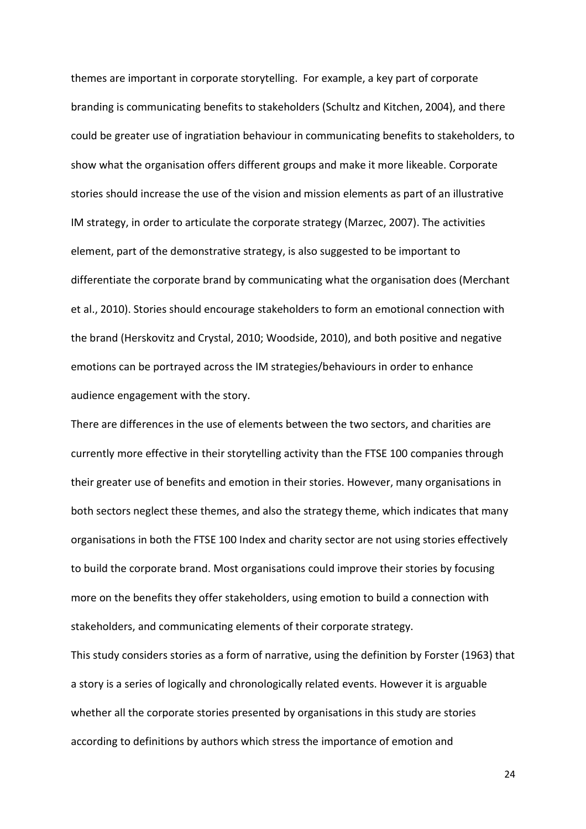themes are important in corporate storytelling. For example, a key part of corporate branding is communicating benefits to stakeholders (Schultz and Kitchen, 2004), and there could be greater use of ingratiation behaviour in communicating benefits to stakeholders, to show what the organisation offers different groups and make it more likeable. Corporate stories should increase the use of the vision and mission elements as part of an illustrative IM strategy, in order to articulate the corporate strategy (Marzec, 2007). The activities element, part of the demonstrative strategy, is also suggested to be important to differentiate the corporate brand by communicating what the organisation does (Merchant et al., 2010). Stories should encourage stakeholders to form an emotional connection with the brand (Herskovitz and Crystal, 2010; Woodside, 2010), and both positive and negative emotions can be portrayed across the IM strategies/behaviours in order to enhance audience engagement with the story.

There are differences in the use of elements between the two sectors, and charities are currently more effective in their storytelling activity than the FTSE 100 companies through their greater use of benefits and emotion in their stories. However, many organisations in both sectors neglect these themes, and also the strategy theme, which indicates that many organisations in both the FTSE 100 Index and charity sector are not using stories effectively to build the corporate brand. Most organisations could improve their stories by focusing more on the benefits they offer stakeholders, using emotion to build a connection with stakeholders, and communicating elements of their corporate strategy.

This study considers stories as a form of narrative, using the definition by Forster (1963) that a story is a series of logically and chronologically related events. However it is arguable whether all the corporate stories presented by organisations in this study are stories according to definitions by authors which stress the importance of emotion and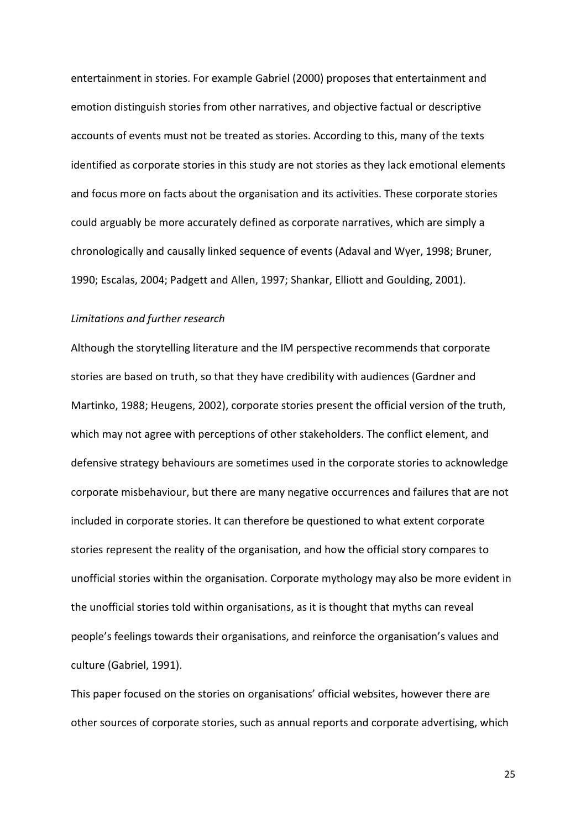entertainment in stories. For example Gabriel (2000) proposes that entertainment and emotion distinguish stories from other narratives, and objective factual or descriptive accounts of events must not be treated as stories. According to this, many of the texts identified as corporate stories in this study are not stories as they lack emotional elements and focus more on facts about the organisation and its activities. These corporate stories could arguably be more accurately defined as corporate narratives, which are simply a chronologically and causally linked sequence of events (Adaval and Wyer, 1998; Bruner, 1990; Escalas, 2004; Padgett and Allen, 1997; Shankar, Elliott and Goulding, 2001).

## *Limitations and further research*

Although the storytelling literature and the IM perspective recommends that corporate stories are based on truth, so that they have credibility with audiences (Gardner and Martinko, 1988; Heugens, 2002), corporate stories present the official version of the truth, which may not agree with perceptions of other stakeholders. The conflict element, and defensive strategy behaviours are sometimes used in the corporate stories to acknowledge corporate misbehaviour, but there are many negative occurrences and failures that are not included in corporate stories. It can therefore be questioned to what extent corporate stories represent the reality of the organisation, and how the official story compares to unofficial stories within the organisation. Corporate mythology may also be more evident in the unofficial stories told within organisations, as it is thought that myths can reveal people's feelings towards their organisations, and reinforce the organisation's values and culture (Gabriel, 1991).

This paper focused on the stories on organisations' official websites, however there are other sources of corporate stories, such as annual reports and corporate advertising, which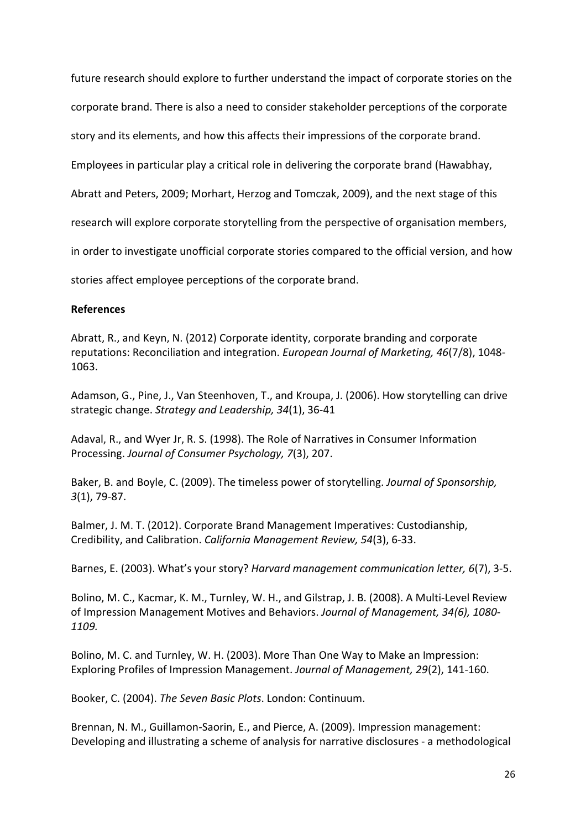future research should explore to further understand the impact of corporate stories on the corporate brand. There is also a need to consider stakeholder perceptions of the corporate story and its elements, and how this affects their impressions of the corporate brand. Employees in particular play a critical role in delivering the corporate brand (Hawabhay, Abratt and Peters, 2009; Morhart, Herzog and Tomczak, 2009), and the next stage of this research will explore corporate storytelling from the perspective of organisation members, in order to investigate unofficial corporate stories compared to the official version, and how stories affect employee perceptions of the corporate brand.

# **References**

Abratt, R., and Keyn, N. (2012) Corporate identity, corporate branding and corporate reputations: Reconciliation and integration. *European Journal of Marketing, 46*(7/8), 1048- 1063.

Adamson, G., Pine, J., Van Steenhoven, T., and Kroupa, J. (2006). How storytelling can drive strategic change. *Strategy and Leadership, 34*(1), 36-41

Adaval, R., and Wyer Jr, R. S. (1998). The Role of Narratives in Consumer Information Processing. *Journal of Consumer Psychology, 7*(3), 207.

Baker, B. and Boyle, C. (2009). The timeless power of storytelling. *Journal of Sponsorship, 3*(1), 79-87.

Balmer, J. M. T. (2012). Corporate Brand Management Imperatives: Custodianship, Credibility, and Calibration. *California Management Review, 54*(3), 6-33.

Barnes, E. (2003). What's your story? *Harvard management communication letter, 6*(7), 3-5.

Bolino, M. C., Kacmar, K. M., Turnley, W. H., and Gilstrap, J. B. (2008). A Multi-Level Review of Impression Management Motives and Behaviors. *Journal of Management, 34(6), 1080- 1109.*

Bolino, M. C. and Turnley, W. H. (2003). More Than One Way to Make an Impression: Exploring Profiles of Impression Management. *Journal of Management, 29*(2), 141-160.

Booker, C. (2004). *The Seven Basic Plots*. London: Continuum.

Brennan, N. M., Guillamon-Saorin, E., and Pierce, A. (2009). Impression management: Developing and illustrating a scheme of analysis for narrative disclosures - a methodological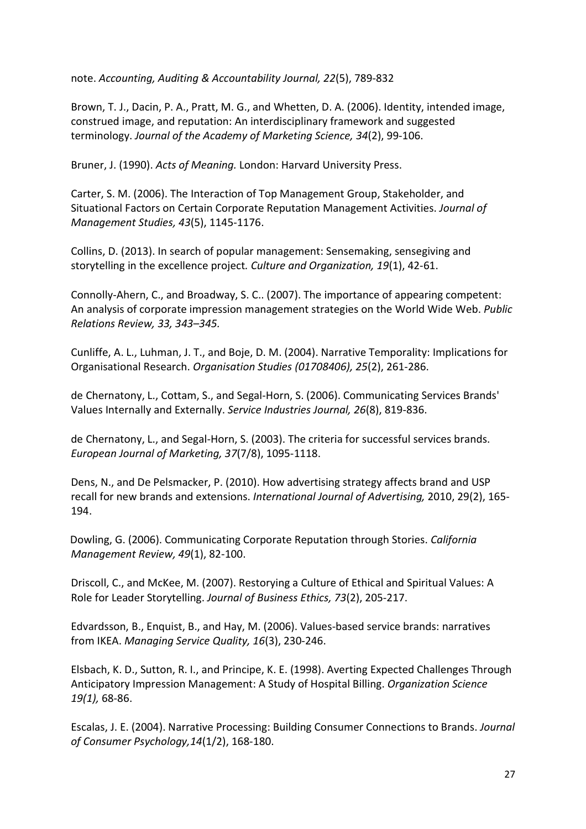note. *Accounting, Auditing & Accountability Journal, 22*(5), 789-832

Brown, T. J., Dacin, P. A., Pratt, M. G., and Whetten, D. A. (2006). Identity, intended image, construed image, and reputation: An interdisciplinary framework and suggested terminology. *Journal of the Academy of Marketing Science, 34*(2), 99-106.

Bruner, J. (1990). *Acts of Meaning.* London: Harvard University Press.

Carter, S. M. (2006). The Interaction of Top Management Group, Stakeholder, and Situational Factors on Certain Corporate Reputation Management Activities. *Journal of Management Studies, 43*(5), 1145-1176.

Collins, D. (2013). In search of popular management: Sensemaking, sensegiving and storytelling in the excellence project*. Culture and Organization, 19*(1), 42-61.

Connolly-Ahern, C., and Broadway, S. C.. (2007). The importance of appearing competent: An analysis of corporate impression management strategies on the World Wide Web. *Public Relations Review, 33, 343–345.* 

Cunliffe, A. L., Luhman, J. T., and Boje, D. M. (2004). Narrative Temporality: Implications for Organisational Research. *Organisation Studies (01708406), 25*(2), 261-286.

de Chernatony, L., Cottam, S., and Segal-Horn, S. (2006). Communicating Services Brands' Values Internally and Externally. *Service Industries Journal, 26*(8), 819-836.

de Chernatony, L., and Segal-Horn, S. (2003). The criteria for successful services brands. *European Journal of Marketing, 37*(7/8), 1095-1118.

Dens, N., and De Pelsmacker, P. (2010). How advertising strategy affects brand and USP recall for new brands and extensions. *International Journal of Advertising,* 2010, 29(2), 165- 194.

 Dowling, G. (2006). Communicating Corporate Reputation through Stories. *California Management Review, 49*(1), 82-100.

Driscoll, C., and McKee, M. (2007). Restorying a Culture of Ethical and Spiritual Values: A Role for Leader Storytelling. *Journal of Business Ethics, 73*(2), 205-217.

Edvardsson, B., Enquist, B., and Hay, M. (2006). Values-based service brands: narratives from IKEA. *Managing Service Quality, 16*(3), 230-246.

Elsbach, K. D., Sutton, R. I., and Principe, K. E. (1998). Averting Expected Challenges Through Anticipatory Impression Management: A Study of Hospital Billing. *Organization Science 19(1),* 68-86.

Escalas, J. E. (2004). Narrative Processing: Building Consumer Connections to Brands. *Journal of Consumer Psychology,14*(1/2), 168-180.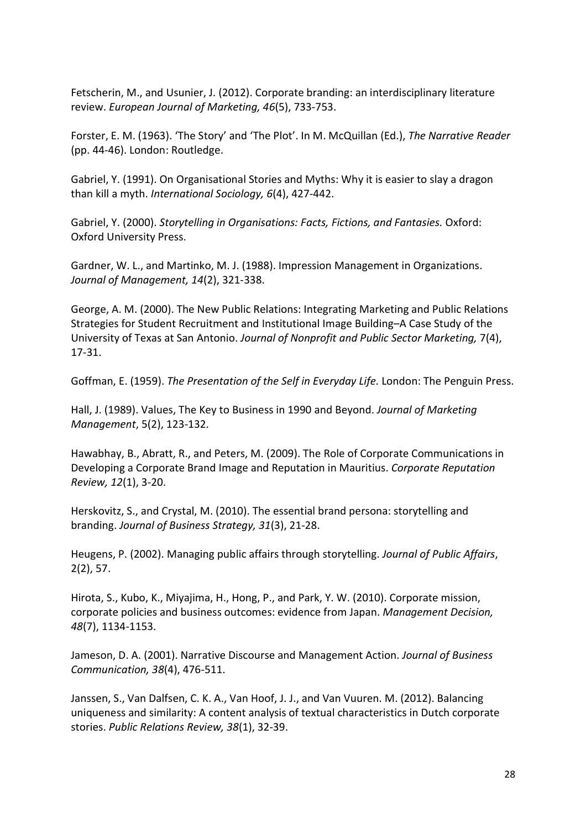Fetscherin, M., and Usunier, J. (2012). Corporate branding: an interdisciplinary literature review. *European Journal of Marketing, 46*(5), 733-753.

Forster, E. M. (1963). 'The Story' and 'The Plot'. In M. McQuillan (Ed.), *The Narrative Reader*  (pp. 44-46). London: Routledge.

Gabriel, Y. (1991). On Organisational Stories and Myths: Why it is easier to slay a dragon than kill a myth. *International Sociology, 6*(4), 427-442.

Gabriel, Y. (2000). *Storytelling in Organisations: Facts, Fictions, and Fantasies.* Oxford: Oxford University Press.

Gardner, W. L., and Martinko, M. J. (1988). Impression Management in Organizations. *Journal of Management, 14*(2), 321-338.

George, A. M. (2000). The New Public Relations: Integrating Marketing and Public Relations Strategies for Student Recruitment and Institutional Image Building–A Case Study of the University of Texas at San Antonio. *Journal of Nonprofit and Public Sector Marketing,* 7(4), 17-31.

Goffman, E. (1959). *The Presentation of the Self in Everyday Life.* London: The Penguin Press.

Hall, J. (1989). Values, The Key to Business in 1990 and Beyond. *Journal of Marketing Management*, 5(2), 123-132.

Hawabhay, B., Abratt, R., and Peters, M. (2009). The Role of Corporate Communications in Developing a Corporate Brand Image and Reputation in Mauritius. *Corporate Reputation Review, 12*(1), 3-20.

Herskovitz, S., and Crystal, M. (2010). The essential brand persona: storytelling and branding. *Journal of Business Strategy, 31*(3), 21-28.

Heugens, P. (2002). Managing public affairs through storytelling. *Journal of Public Affairs*, 2(2), 57.

Hirota, S., Kubo, K., Miyajima, H., Hong, P., and Park, Y. W. (2010). Corporate mission, corporate policies and business outcomes: evidence from Japan. *Management Decision, 48*(7), 1134-1153.

Jameson, D. A. (2001). Narrative Discourse and Management Action. *Journal of Business Communication, 38*(4), 476-511.

Janssen, S., Van Dalfsen, C. K. A., Van Hoof, J. J., and Van Vuuren. M. (2012). Balancing uniqueness and similarity: A content analysis of textual characteristics in Dutch corporate stories. *Public Relations Review, 38*(1), 32-39.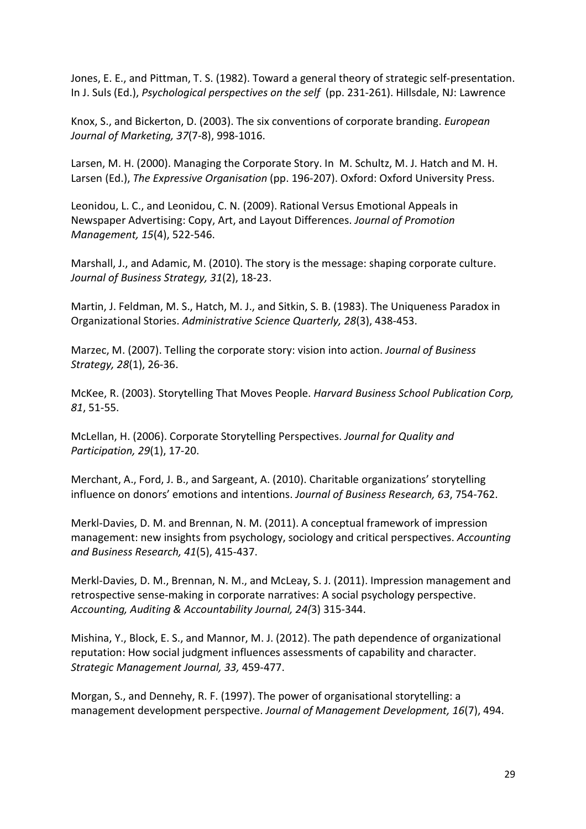Jones, E. E., and Pittman, T. S. (1982). Toward a general theory of strategic self-presentation. In J. Suls (Ed.), *Psychological perspectives on the self* (pp. 231-261). Hillsdale, NJ: Lawrence

Knox, S., and Bickerton, D. (2003). The six conventions of corporate branding. *European Journal of Marketing, 37*(7-8), 998-1016.

Larsen, M. H. (2000). Managing the Corporate Story. In M. Schultz, M. J. Hatch and M. H. Larsen (Ed.), *The Expressive Organisation* (pp. 196-207). Oxford: Oxford University Press.

Leonidou, L. C., and Leonidou, C. N. (2009). Rational Versus Emotional Appeals in Newspaper Advertising: Copy, Art, and Layout Differences. *Journal of Promotion Management, 15*(4), 522-546.

Marshall, J., and Adamic, M. (2010). The story is the message: shaping corporate culture. *Journal of Business Strategy, 31*(2), 18-23.

Martin, J. Feldman, M. S., Hatch, M. J., and Sitkin, S. B. (1983). The Uniqueness Paradox in Organizational Stories. *Administrative Science Quarterly, 28*(3), 438-453.

Marzec, M. (2007). Telling the corporate story: vision into action. *Journal of Business Strategy, 28*(1), 26-36.

McKee, R. (2003). Storytelling That Moves People. *Harvard Business School Publication Corp, 81*, 51-55.

McLellan, H. (2006). Corporate Storytelling Perspectives. *Journal for Quality and Participation, 29*(1), 17-20.

Merchant, A., Ford, J. B., and Sargeant, A. (2010). Charitable organizations' storytelling influence on donors' emotions and intentions. *Journal of Business Research, 63*, 754-762.

Merkl-Davies, D. M. and Brennan, N. M. (2011). A conceptual framework of impression management: new insights from psychology, sociology and critical perspectives. *Accounting and Business Research, 41*(5), 415-437.

Merkl-Davies, D. M., Brennan, N. M., and McLeay, S. J. (2011). Impression management and retrospective sense-making in corporate narratives: A social psychology perspective. *Accounting, Auditing & Accountability Journal, 24(*3) 315-344.

Mishina, Y., Block, E. S., and Mannor, M. J. (2012). The path dependence of organizational reputation: How social judgment influences assessments of capability and character. *Strategic Management Journal, 33,* 459-477.

Morgan, S., and Dennehy, R. F. (1997). The power of organisational storytelling: a management development perspective. *Journal of Management Development, 16*(7), 494.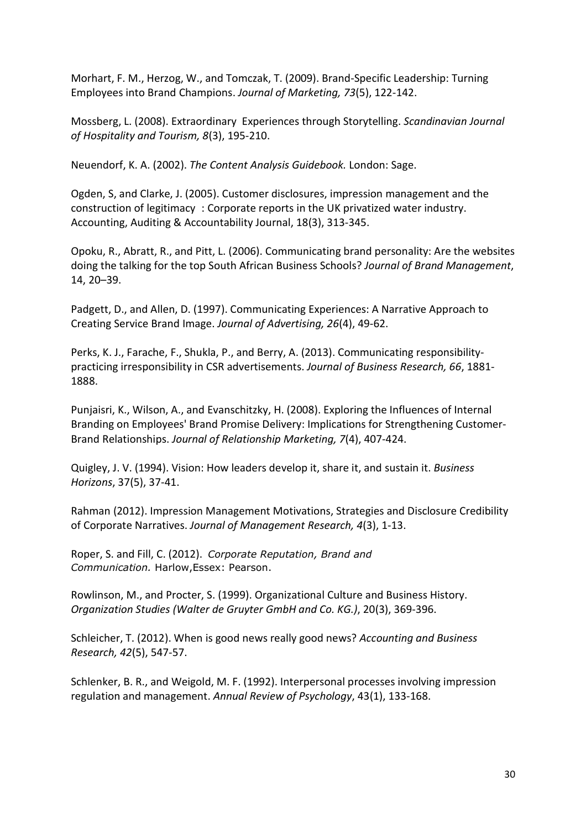Morhart, F. M., Herzog, W., and Tomczak, T. (2009). Brand-Specific Leadership: Turning Employees into Brand Champions. *Journal of Marketing, 73*(5), 122-142.

Mossberg, L. (2008). Extraordinary Experiences through Storytelling. *Scandinavian Journal of Hospitality and Tourism, 8*(3), 195-210.

Neuendorf, K. A. (2002). *The Content Analysis Guidebook.* London: Sage.

Ogden, S, and Clarke, J. (2005). Customer disclosures, impression management and the construction of legitimacy: Corporate reports in the UK privatized water industry. Accounting, Auditing & Accountability Journal, 18(3), 313-345.

Opoku, R., Abratt, R., and Pitt, L. (2006). Communicating brand personality: Are the websites doing the talking for the top South African Business Schools? *Journal of Brand Management*, 14, 20–39.

Padgett, D., and Allen, D. (1997). Communicating Experiences: A Narrative Approach to Creating Service Brand Image. *Journal of Advertising, 26*(4), 49-62.

Perks, K. J., Farache, F., Shukla, P., and Berry, A. (2013). Communicating responsibilitypracticing irresponsibility in CSR advertisements. *Journal of Business Research, 66*, 1881- 1888.

Punjaisri, K., Wilson, A., and Evanschitzky, H. (2008). Exploring the Influences of Internal Branding on Employees' Brand Promise Delivery: Implications for Strengthening Customer-Brand Relationships. *Journal of Relationship Marketing, 7*(4), 407-424.

Quigley, J. V. (1994). Vision: How leaders develop it, share it, and sustain it. *Business Horizons*, 37(5), 37-41.

Rahman (2012). Impression Management Motivations, Strategies and Disclosure Credibility of Corporate Narratives. *Journal of Management Research, 4*(3), 1-13.

Roper, S. and Fill, C. (2012). *Corporate Reputation, Brand and Communication.* Harlow,Essex: Pearson.

Rowlinson, M., and Procter, S. (1999). Organizational Culture and Business History. *Organization Studies (Walter de Gruyter GmbH and Co. KG.)*, 20(3), 369-396.

Schleicher, T. (2012). When is good news really good news? *Accounting and Business Research, 42*(5), 547-57.

Schlenker, B. R., and Weigold, M. F. (1992). Interpersonal processes involving impression regulation and management. *Annual Review of Psychology*, 43(1), 133-168.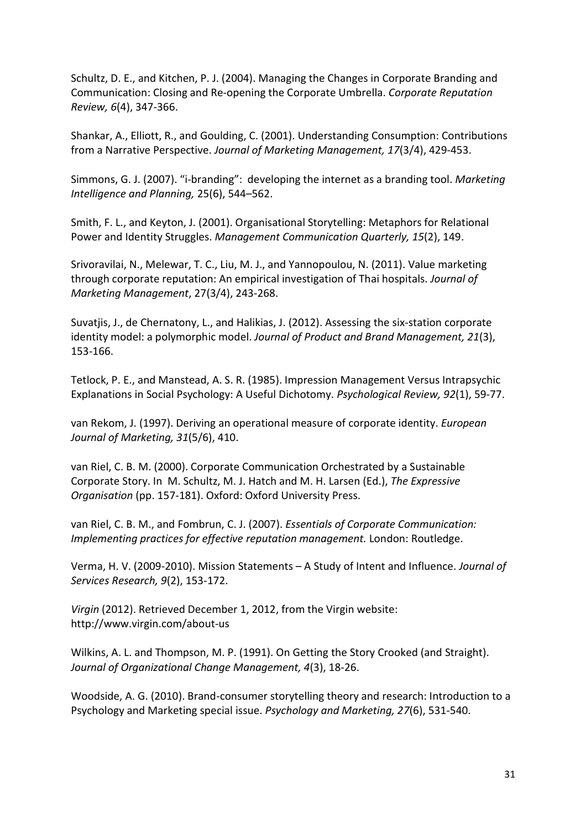Schultz, D. E., and Kitchen, P. J. (2004). Managing the Changes in Corporate Branding and Communication: Closing and Re-opening the Corporate Umbrella. *Corporate Reputation Review, 6*(4), 347-366.

Shankar, A., Elliott, R., and Goulding, C. (2001). Understanding Consumption: Contributions from a Narrative Perspective. *Journal of Marketing Management, 17*(3/4), 429-453.

Simmons, G. J. (2007). "i-branding": developing the internet as a branding tool. *Marketing Intelligence and Planning,* 25(6), 544–562.

Smith, F. L., and Keyton, J. (2001). Organisational Storytelling: Metaphors for Relational Power and Identity Struggles. *Management Communication Quarterly, 15*(2), 149.

Srivoravilai, N., Melewar, T. C., Liu, M. J., and Yannopoulou, N. (2011). Value marketing through corporate reputation: An empirical investigation of Thai hospitals. *Journal of Marketing Management*, 27(3/4), 243-268.

Suvatjis, J., de Chernatony, L., and Halikias, J. (2012). Assessing the six-station corporate identity model: a polymorphic model. *Journal of Product and Brand Management, 21*(3), 153-166.

Tetlock, P. E., and Manstead, A. S. R. (1985). Impression Management Versus Intrapsychic Explanations in Social Psychology: A Useful Dichotomy. *Psychological Review, 92*(1), 59-77.

van Rekom, J. (1997). Deriving an operational measure of corporate identity. *European Journal of Marketing, 31*(5/6), 410.

van Riel, C. B. M. (2000). Corporate Communication Orchestrated by a Sustainable Corporate Story. In M. Schultz, M. J. Hatch and M. H. Larsen (Ed.), *The Expressive Organisation* (pp. 157-181). Oxford: Oxford University Press.

van Riel, C. B. M., and Fombrun, C. J. (2007). *Essentials of Corporate Communication: Implementing practices for effective reputation management.* London: Routledge.

Verma, H. V. (2009-2010). Mission Statements – A Study of Intent and Influence. *Journal of Services Research, 9*(2), 153-172.

*Virgin* (2012). Retrieved December 1, 2012, from the Virgin website: http://www.virgin.com/about-us

Wilkins, A. L. and Thompson, M. P. (1991). On Getting the Story Crooked (and Straight). *Journal of Organizational Change Management, 4*(3), 18-26.

Woodside, A. G. (2010). Brand-consumer storytelling theory and research: Introduction to a Psychology and Marketing special issue. *Psychology and Marketing, 27*(6), 531-540.